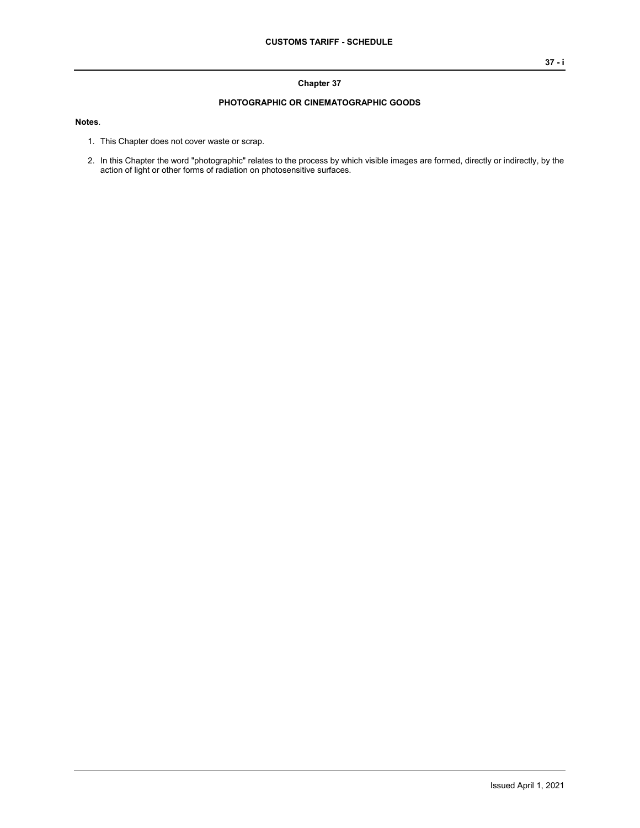### **Chapter 37**

### **PHOTOGRAPHIC OR CINEMATOGRAPHIC GOODS**

### **Notes**.

- 1. This Chapter does not cover waste or scrap.
- 2. In this Chapter the word "photographic" relates to the process by which visible images are formed, directly or indirectly, by the action of light or other forms of radiation on photosensitive surfaces.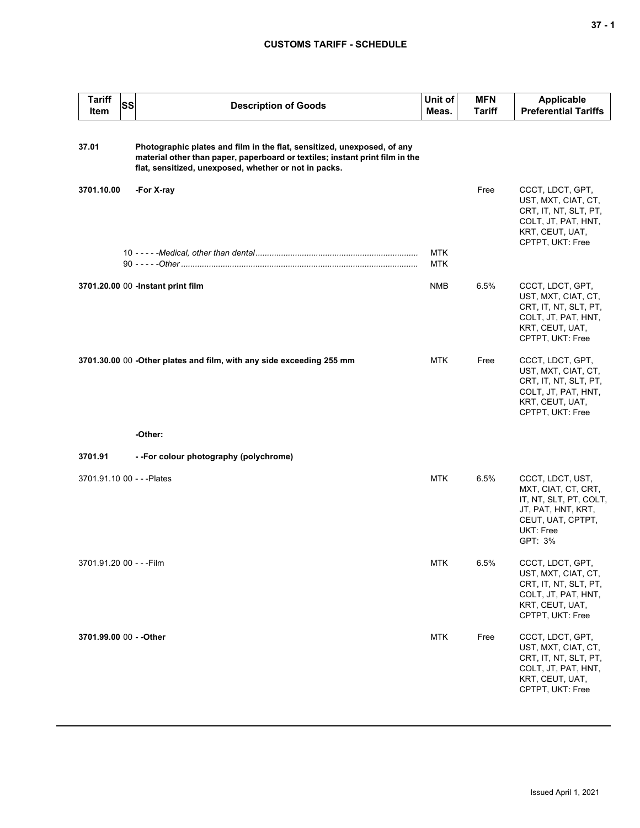# **CUSTOMS TARIFF - SCHEDULE**

| <b>Tariff</b><br>Item      | <b>SS</b> | <b>Description of Goods</b>                                                                                                                                                                                      | Unit of<br>Meas.  | <b>MFN</b><br><b>Tariff</b> | Applicable<br><b>Preferential Tariffs</b>                                                                                            |
|----------------------------|-----------|------------------------------------------------------------------------------------------------------------------------------------------------------------------------------------------------------------------|-------------------|-----------------------------|--------------------------------------------------------------------------------------------------------------------------------------|
| 37.01                      |           | Photographic plates and film in the flat, sensitized, unexposed, of any<br>material other than paper, paperboard or textiles; instant print film in the<br>flat, sensitized, unexposed, whether or not in packs. |                   |                             |                                                                                                                                      |
| 3701.10.00                 |           | -For X-ray                                                                                                                                                                                                       |                   | Free                        | CCCT, LDCT, GPT,<br>UST, MXT, CIAT, CT,<br>CRT, IT, NT, SLT, PT,<br>COLT, JT, PAT, HNT,<br>KRT, CEUT, UAT,<br>CPTPT, UKT: Free       |
|                            |           |                                                                                                                                                                                                                  | MTK<br><b>MTK</b> |                             |                                                                                                                                      |
|                            |           | 3701.20.00 00 -Instant print film                                                                                                                                                                                | <b>NMB</b>        | 6.5%                        | CCCT, LDCT, GPT,<br>UST, MXT, CIAT, CT,<br>CRT, IT, NT, SLT, PT,<br>COLT, JT, PAT, HNT,<br>KRT, CEUT, UAT,<br>CPTPT, UKT: Free       |
|                            |           | 3701.30.00 00 -Other plates and film, with any side exceeding 255 mm                                                                                                                                             | MTK               | Free                        | CCCT, LDCT, GPT,<br>UST, MXT, CIAT, CT,<br>CRT, IT, NT, SLT, PT,<br>COLT, JT, PAT, HNT,<br>KRT, CEUT, UAT,<br>CPTPT, UKT: Free       |
|                            |           | -Other:                                                                                                                                                                                                          |                   |                             |                                                                                                                                      |
| 3701.91                    |           | --For colour photography (polychrome)                                                                                                                                                                            |                   |                             |                                                                                                                                      |
| 3701.91.10 00 - - - Plates |           |                                                                                                                                                                                                                  | <b>MTK</b>        | 6.5%                        | CCCT, LDCT, UST,<br>MXT, CIAT, CT, CRT,<br>IT, NT, SLT, PT, COLT,<br>JT, PAT, HNT, KRT,<br>CEUT, UAT, CPTPT,<br>UKT: Free<br>GPT: 3% |
| 3701.91.20 00 - - - Film   |           |                                                                                                                                                                                                                  | MTK               | 6.5%                        | CCCT, LDCT, GPT,<br>UST, MXT, CIAT, CT,<br>CRT, IT, NT, SLT, PT,<br>COLT, JT, PAT, HNT,<br>KRT, CEUT, UAT,<br>CPTPT, UKT: Free       |
| 3701.99.00 00 - - Other    |           |                                                                                                                                                                                                                  | <b>MTK</b>        | Free                        | CCCT, LDCT, GPT,<br>UST, MXT, CIAT, CT,<br>CRT, IT, NT, SLT, PT,<br>COLT, JT, PAT, HNT,<br>KRT, CEUT, UAT,<br>CPTPT, UKT: Free       |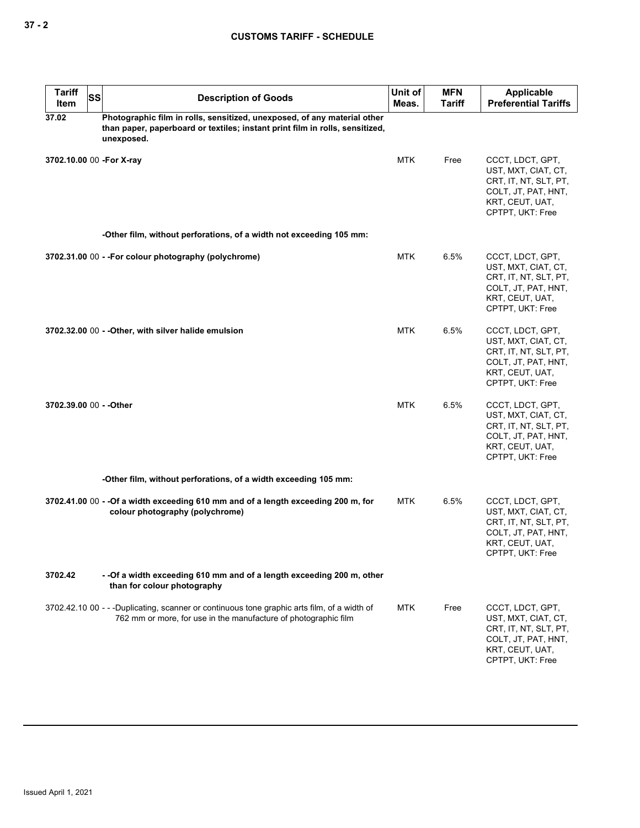# **CUSTOMS TARIFF - SCHEDULE**

| <b>Tariff</b><br>Item     | <b>SS</b> | <b>Description of Goods</b>                                                                                                                                            | Unit of<br>Meas. | <b>MFN</b><br><b>Tariff</b> | <b>Applicable</b><br><b>Preferential Tariffs</b>                                                                               |
|---------------------------|-----------|------------------------------------------------------------------------------------------------------------------------------------------------------------------------|------------------|-----------------------------|--------------------------------------------------------------------------------------------------------------------------------|
| 37.02                     |           | Photographic film in rolls, sensitized, unexposed, of any material other<br>than paper, paperboard or textiles; instant print film in rolls, sensitized,<br>unexposed. |                  |                             |                                                                                                                                |
| 3702.10.00 00 - For X-ray |           |                                                                                                                                                                        | <b>MTK</b>       | Free                        | CCCT, LDCT, GPT,<br>UST, MXT, CIAT, CT,<br>CRT, IT, NT, SLT, PT,<br>COLT, JT, PAT, HNT,<br>KRT, CEUT, UAT,<br>CPTPT, UKT: Free |
|                           |           | -Other film, without perforations, of a width not exceeding 105 mm:                                                                                                    |                  |                             |                                                                                                                                |
|                           |           | 3702.31.00 00 - - For colour photography (polychrome)                                                                                                                  | MTK              | 6.5%                        | CCCT, LDCT, GPT,<br>UST, MXT, CIAT, CT,<br>CRT, IT, NT, SLT, PT,<br>COLT, JT, PAT, HNT,<br>KRT, CEUT, UAT,<br>CPTPT, UKT: Free |
|                           |           | 3702.32.00 00 - - Other, with silver halide emulsion                                                                                                                   | <b>MTK</b>       | 6.5%                        | CCCT, LDCT, GPT,<br>UST, MXT, CIAT, CT,<br>CRT, IT, NT, SLT, PT,<br>COLT, JT, PAT, HNT,<br>KRT, CEUT, UAT,<br>CPTPT, UKT: Free |
| 3702.39.00 00 - - Other   |           |                                                                                                                                                                        | MTK              | 6.5%                        | CCCT, LDCT, GPT,<br>UST, MXT, CIAT, CT,<br>CRT, IT, NT, SLT, PT,<br>COLT, JT, PAT, HNT,<br>KRT, CEUT, UAT,<br>CPTPT, UKT: Free |
|                           |           | -Other film, without perforations, of a width exceeding 105 mm:                                                                                                        |                  |                             |                                                                                                                                |
|                           |           | 3702.41.00 00 - - Of a width exceeding 610 mm and of a length exceeding 200 m, for<br>colour photography (polychrome)                                                  | MTK              | 6.5%                        | CCCT, LDCT, GPT,<br>UST, MXT, CIAT, CT,<br>CRT, IT, NT, SLT, PT,<br>COLT, JT, PAT, HNT,<br>KRT, CEUT, UAT,<br>CPIPI, UKI: Free |
| 3702.42                   |           | - -Of a width exceeding 610 mm and of a length exceeding 200 m, other<br>than for colour photography                                                                   |                  |                             |                                                                                                                                |
|                           |           | 3702.42.10 00 - - -Duplicating, scanner or continuous tone graphic arts film, of a width of<br>762 mm or more, for use in the manufacture of photographic film         | MTK              | Free                        | CCCT, LDCT, GPT,<br>UST, MXT, CIAT, CT,<br>CRT, IT, NT, SLT, PT,<br>COLT, JT, PAT, HNT,<br>KRT, CEUT, UAT,<br>CPTPT, UKT: Free |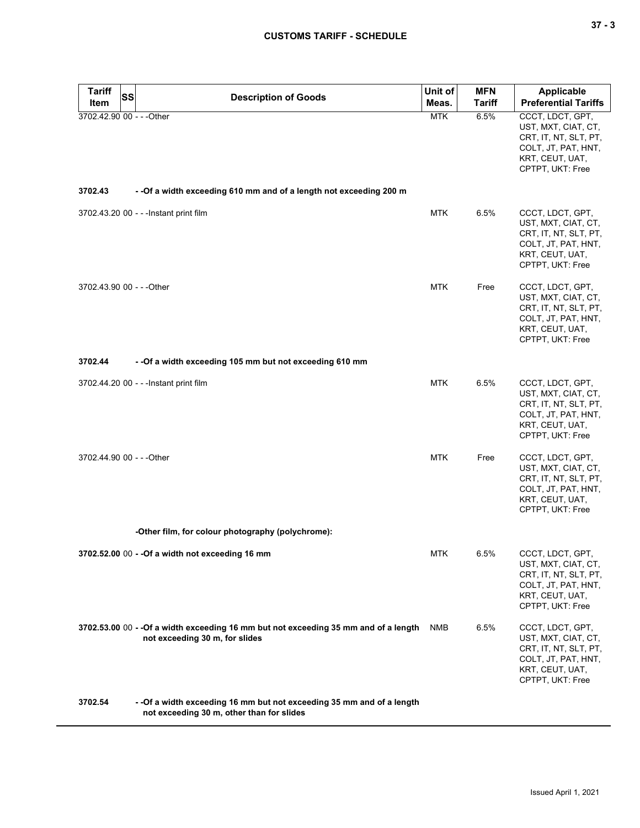| ۰.<br>$\sim$ |  | $\sim$ |
|--------------|--|--------|
|--------------|--|--------|

| <b>Tariff</b><br>Item     | <b>SS</b> | <b>Description of Goods</b>                                                                                            | Unit of<br>Meas. | <b>MFN</b><br>Tariff | <b>Applicable</b><br><b>Preferential Tariffs</b>                                                                               |
|---------------------------|-----------|------------------------------------------------------------------------------------------------------------------------|------------------|----------------------|--------------------------------------------------------------------------------------------------------------------------------|
| 3702.42.90 00 - - - Other |           |                                                                                                                        | <b>MTK</b>       | 6.5%                 | CCCT, LDCT, GPT,<br>UST, MXT, CIAT, CT,<br>CRT, IT, NT, SLT, PT,<br>COLT, JT, PAT, HNT,<br>KRT, CEUT, UAT,<br>CPTPT, UKT: Free |
| 3702.43                   |           | - - Of a width exceeding 610 mm and of a length not exceeding 200 m                                                    |                  |                      |                                                                                                                                |
|                           |           | 3702.43.20 00 - - - Instant print film                                                                                 | MTK              | 6.5%                 | CCCT, LDCT, GPT,<br>UST, MXT, CIAT, CT,<br>CRT, IT, NT, SLT, PT,<br>COLT, JT, PAT, HNT,<br>KRT, CEUT, UAT,<br>CPTPT, UKT: Free |
| 3702.43.90 00 - - - Other |           |                                                                                                                        | MTK              | Free                 | CCCT, LDCT, GPT,<br>UST, MXT, CIAT, CT,<br>CRT, IT, NT, SLT, PT,<br>COLT, JT, PAT, HNT,<br>KRT, CEUT, UAT,<br>CPTPT, UKT: Free |
| 3702.44                   |           | - - Of a width exceeding 105 mm but not exceeding 610 mm                                                               |                  |                      |                                                                                                                                |
|                           |           | 3702.44.20 00 - - - Instant print film                                                                                 | <b>MTK</b>       | 6.5%                 | CCCT, LDCT, GPT,<br>UST, MXT, CIAT, CT,<br>CRT, IT, NT, SLT, PT,<br>COLT, JT, PAT, HNT,<br>KRT, CEUT, UAT,<br>CPTPT, UKT: Free |
| 3702.44.90 00 - - - Other |           |                                                                                                                        | <b>MTK</b>       | Free                 | CCCT, LDCT, GPT,<br>UST, MXT, CIAT, CT,<br>CRT, IT, NT, SLT, PT,<br>COLT, JT, PAT, HNT,<br>KRT, CEUT, UAT,<br>CPTPT, UKT: Free |
|                           |           | -Other film, for colour photography (polychrome):                                                                      |                  |                      |                                                                                                                                |
|                           |           | 3702.52.00 00 - - Of a width not exceeding 16 mm                                                                       | <b>MTK</b>       | 6.5%                 | CCCT, LDCT, GPT,<br>UST, MXT, CIAT, CT,<br>CRT, IT, NT, SLT, PT,<br>COLT, JT, PAT, HNT,<br>KRT, CEUT, UAT,<br>CPTPT, UKT: Free |
|                           |           | 3702.53.00 00 - - Of a width exceeding 16 mm but not exceeding 35 mm and of a length<br>not exceeding 30 m, for slides | NMB              | 6.5%                 | CCCT, LDCT, GPT,<br>UST, MXT, CIAT, CT,<br>CRT, IT, NT, SLT, PT,<br>COLT, JT, PAT, HNT,<br>KRT, CEUT, UAT,<br>CPTPT, UKT: Free |
| 3702.54                   |           | - - Of a width exceeding 16 mm but not exceeding 35 mm and of a length<br>not exceeding 30 m, other than for slides    |                  |                      |                                                                                                                                |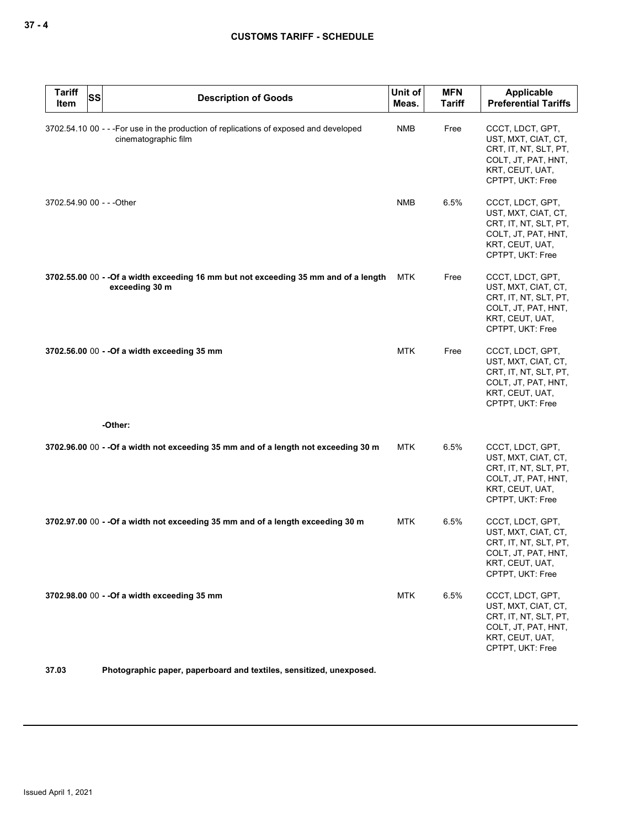| <b>Tariff</b><br>Item     | <b>SS</b> | <b>Description of Goods</b>                                                                                    | Unit of<br>Meas. | <b>MFN</b><br><b>Tariff</b> | Applicable<br><b>Preferential Tariffs</b>                                                                                      |
|---------------------------|-----------|----------------------------------------------------------------------------------------------------------------|------------------|-----------------------------|--------------------------------------------------------------------------------------------------------------------------------|
|                           |           | 3702.54.10 00 - - - For use in the production of replications of exposed and developed<br>cinematographic film | <b>NMB</b>       | Free                        | CCCT, LDCT, GPT,<br>UST, MXT, CIAT, CT,<br>CRT, IT, NT, SLT, PT,<br>COLT, JT, PAT, HNT,<br>KRT, CEUT, UAT,<br>CPTPT, UKT: Free |
| 3702.54.90 00 - - - Other |           |                                                                                                                | <b>NMB</b>       | 6.5%                        | CCCT, LDCT, GPT,<br>UST, MXT, CIAT, CT,<br>CRT, IT, NT, SLT, PT,<br>COLT, JT, PAT, HNT,<br>KRT, CEUT, UAT,<br>CPTPT, UKT: Free |
|                           |           | 3702.55.00 00 - - Of a width exceeding 16 mm but not exceeding 35 mm and of a length<br>exceeding 30 m         | <b>MTK</b>       | Free                        | CCCT, LDCT, GPT,<br>UST, MXT, CIAT, CT,<br>CRT, IT, NT, SLT, PT,<br>COLT, JT, PAT, HNT,<br>KRT, CEUT, UAT,<br>CPTPT, UKT: Free |
|                           |           | 3702.56.00 00 - - Of a width exceeding 35 mm                                                                   | <b>MTK</b>       | Free                        | CCCT, LDCT, GPT,<br>UST, MXT, CIAT, CT,<br>CRT, IT, NT, SLT, PT,<br>COLT, JT, PAT, HNT,<br>KRT, CEUT, UAT,<br>CPTPT, UKT: Free |
|                           |           | -Other:                                                                                                        |                  |                             |                                                                                                                                |
|                           |           | 3702.96.00 00 - - Of a width not exceeding 35 mm and of a length not exceeding 30 m                            | <b>MTK</b>       | 6.5%                        | CCCT, LDCT, GPT,<br>UST, MXT, CIAT, CT,<br>CRT, IT, NT, SLT, PT,<br>COLT, JT, PAT, HNT,<br>KRT, CEUT, UAT,<br>CPTPT, UKT: Free |
|                           |           | 3702.97.00 00 - - Of a width not exceeding 35 mm and of a length exceeding 30 m                                | <b>MTK</b>       | 6.5%                        | CCCT, LDCT, GPT,<br>UST, MXT, CIAT, CT,<br>CRT, IT, NT, SLT, PT,<br>COLT, JT, PAT, HNT,<br>KRT, CEUT, UAT,<br>CPTPT, UKT: Free |
|                           |           | 3702.98.00 00 - - Of a width exceeding 35 mm                                                                   | <b>MTK</b>       | 6.5%                        | CCCT, LDCT, GPT,<br>UST, MXT, CIAT, CT,<br>CRT, IT, NT, SLT, PT,<br>COLT, JT, PAT, HNT,<br>KRT, CEUT, UAT,<br>CPTPT, UKT: Free |

**37.03 Photographic paper, paperboard and textiles, sensitized, unexposed.**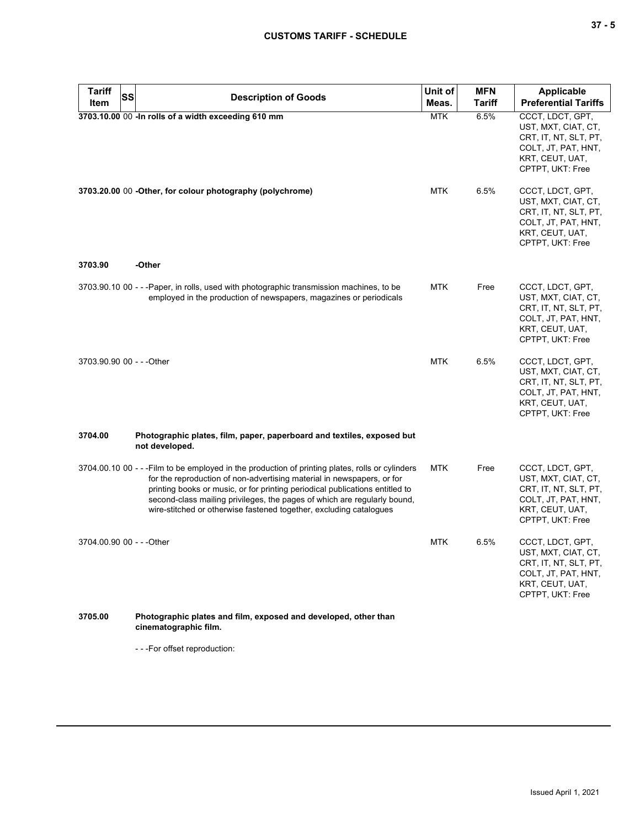| <b>Tariff</b><br><b>SS</b> | <b>Description of Goods</b>                                                                                                                                                                                                                                                                                                                                                                                  | Unit of    | <b>MFN</b>    | <b>Applicable</b>                                                                                                              |
|----------------------------|--------------------------------------------------------------------------------------------------------------------------------------------------------------------------------------------------------------------------------------------------------------------------------------------------------------------------------------------------------------------------------------------------------------|------------|---------------|--------------------------------------------------------------------------------------------------------------------------------|
| Item                       |                                                                                                                                                                                                                                                                                                                                                                                                              | Meas.      | <b>Tariff</b> | <b>Preferential Tariffs</b>                                                                                                    |
|                            | 3703.10.00 00 -In rolls of a width exceeding 610 mm                                                                                                                                                                                                                                                                                                                                                          | <b>MTK</b> | 6.5%          | CCCT, LDCT, GPT,<br>UST, MXT, CIAT, CT,<br>CRT, IT, NT, SLT, PT,<br>COLT, JT, PAT, HNT,<br>KRT, CEUT, UAT,<br>CPTPT, UKT: Free |
|                            | 3703.20.00 00 - Other, for colour photography (polychrome)                                                                                                                                                                                                                                                                                                                                                   | <b>MTK</b> | 6.5%          | CCCT, LDCT, GPT,<br>UST, MXT, CIAT, CT,<br>CRT, IT, NT, SLT, PT,<br>COLT, JT, PAT, HNT,<br>KRT, CEUT, UAT,<br>CPTPT, UKT: Free |
| 3703.90                    | -Other                                                                                                                                                                                                                                                                                                                                                                                                       |            |               |                                                                                                                                |
|                            | 3703.90.10 00 - - - Paper, in rolls, used with photographic transmission machines, to be<br>employed in the production of newspapers, magazines or periodicals                                                                                                                                                                                                                                               | <b>MTK</b> | Free          | CCCT, LDCT, GPT,<br>UST, MXT, CIAT, CT,<br>CRT, IT, NT, SLT, PT,<br>COLT, JT, PAT, HNT,<br>KRT, CEUT, UAT,<br>CPTPT, UKT: Free |
| 3703.90.90 00 - - - Other  |                                                                                                                                                                                                                                                                                                                                                                                                              | <b>MTK</b> | 6.5%          | CCCT, LDCT, GPT,<br>UST, MXT, CIAT, CT,<br>CRT, IT, NT, SLT, PT,<br>COLT, JT, PAT, HNT,<br>KRT, CEUT, UAT,<br>CPTPT, UKT: Free |
| 3704.00                    | Photographic plates, film, paper, paperboard and textiles, exposed but<br>not developed.                                                                                                                                                                                                                                                                                                                     |            |               |                                                                                                                                |
|                            | 3704.00.10 00 - - - Film to be employed in the production of printing plates, rolls or cylinders<br>for the reproduction of non-advertising material in newspapers, or for<br>printing books or music, or for printing periodical publications entitled to<br>second-class mailing privileges, the pages of which are regularly bound,<br>wire-stitched or otherwise fastened together, excluding catalogues | <b>MTK</b> | Free          | CCCT, LDCT, GPT,<br>UST, MXT, CIAT, CT,<br>CRT, IT, NT, SLT, PT,<br>COLT, JT, PAT, HNT,<br>KRT, CEUT, UAT,<br>CPTPT, UKT: Free |
| 3704.00.90 00 - - - Other  |                                                                                                                                                                                                                                                                                                                                                                                                              | <b>MTK</b> | 6.5%          | CCCT, LDCT, GPT,<br>UST, MXT, CIAT, CT,<br>CRT, IT, NT, SLT, PT,<br>COLT, JT, PAT, HNT,<br>KRT, CEUT, UAT,<br>CPTPT, UKT: Free |
| 3705.00                    | Photographic plates and film, exposed and developed, other than<br>cinematographic film.                                                                                                                                                                                                                                                                                                                     |            |               |                                                                                                                                |

- - -For offset reproduction: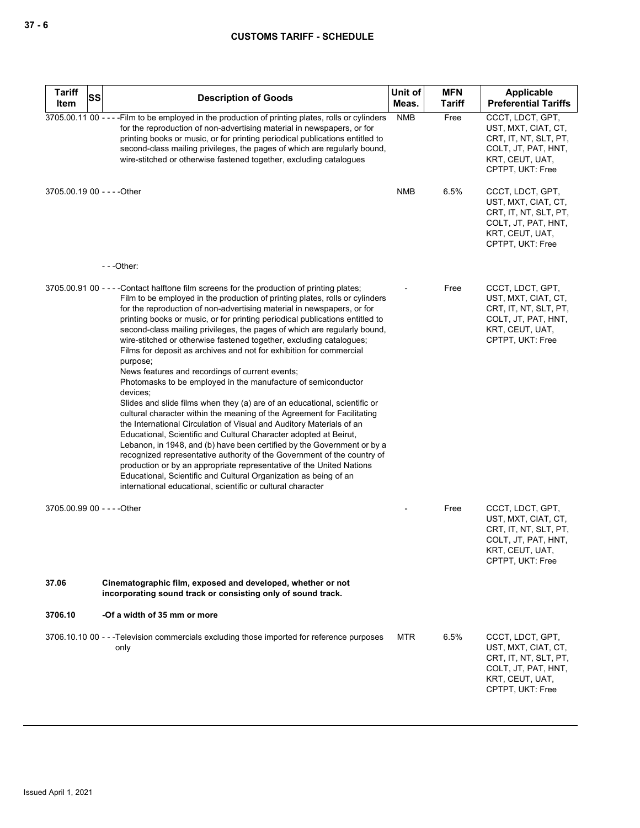| <b>Tariff</b><br><b>SS</b>  | <b>Description of Goods</b>                                                                                                                                                                                                                                                                                                                                                                                                                                                                                                                                                                                                                                                                                                                                                                                                                                                                                                                                                                                                                                                                                                                                                                                                                                                                                                                                                      | Unit of    | <b>MFN</b>    | Applicable                                                                                                                     |
|-----------------------------|----------------------------------------------------------------------------------------------------------------------------------------------------------------------------------------------------------------------------------------------------------------------------------------------------------------------------------------------------------------------------------------------------------------------------------------------------------------------------------------------------------------------------------------------------------------------------------------------------------------------------------------------------------------------------------------------------------------------------------------------------------------------------------------------------------------------------------------------------------------------------------------------------------------------------------------------------------------------------------------------------------------------------------------------------------------------------------------------------------------------------------------------------------------------------------------------------------------------------------------------------------------------------------------------------------------------------------------------------------------------------------|------------|---------------|--------------------------------------------------------------------------------------------------------------------------------|
| Item                        |                                                                                                                                                                                                                                                                                                                                                                                                                                                                                                                                                                                                                                                                                                                                                                                                                                                                                                                                                                                                                                                                                                                                                                                                                                                                                                                                                                                  | Meas.      | <b>Tariff</b> | <b>Preferential Tariffs</b>                                                                                                    |
|                             | 3705.00.11 00 - - - - Film to be employed in the production of printing plates, rolls or cylinders<br>for the reproduction of non-advertising material in newspapers, or for<br>printing books or music, or for printing periodical publications entitled to<br>second-class mailing privileges, the pages of which are regularly bound,<br>wire-stitched or otherwise fastened together, excluding catalogues                                                                                                                                                                                                                                                                                                                                                                                                                                                                                                                                                                                                                                                                                                                                                                                                                                                                                                                                                                   | <b>NMB</b> | Free          | CCCT, LDCT, GPT,<br>UST, MXT, CIAT, CT,<br>CRT, IT, NT, SLT, PT,<br>COLT, JT, PAT, HNT,<br>KRT, CEUT, UAT,<br>CPTPT, UKT: Free |
| 3705.00.19 00 - - - - Other |                                                                                                                                                                                                                                                                                                                                                                                                                                                                                                                                                                                                                                                                                                                                                                                                                                                                                                                                                                                                                                                                                                                                                                                                                                                                                                                                                                                  | NMB        | 6.5%          | CCCT, LDCT, GPT,<br>UST, MXT, CIAT, CT,<br>CRT, IT, NT, SLT, PT,<br>COLT, JT, PAT, HNT,<br>KRT, CEUT, UAT,<br>CPTPT, UKT: Free |
|                             | ---Other:                                                                                                                                                                                                                                                                                                                                                                                                                                                                                                                                                                                                                                                                                                                                                                                                                                                                                                                                                                                                                                                                                                                                                                                                                                                                                                                                                                        |            |               |                                                                                                                                |
|                             | 3705.00.91 00 - - - - Contact halftone film screens for the production of printing plates;<br>Film to be employed in the production of printing plates, rolls or cylinders<br>for the reproduction of non-advertising material in newspapers, or for<br>printing books or music, or for printing periodical publications entitled to<br>second-class mailing privileges, the pages of which are regularly bound,<br>wire-stitched or otherwise fastened together, excluding catalogues;<br>Films for deposit as archives and not for exhibition for commercial<br>purpose;<br>News features and recordings of current events;<br>Photomasks to be employed in the manufacture of semiconductor<br>devices;<br>Slides and slide films when they (a) are of an educational, scientific or<br>cultural character within the meaning of the Agreement for Facilitating<br>the International Circulation of Visual and Auditory Materials of an<br>Educational, Scientific and Cultural Character adopted at Beirut,<br>Lebanon, in 1948, and (b) have been certified by the Government or by a<br>recognized representative authority of the Government of the country of<br>production or by an appropriate representative of the United Nations<br>Educational, Scientific and Cultural Organization as being of an<br>international educational, scientific or cultural character |            | Free          | CCCT, LDCT, GPT,<br>UST, MXT, CIAT, CT,<br>CRT, IT, NT, SLT, PT,<br>COLT, JT, PAT, HNT,<br>KRT, CEUT, UAT,<br>CPTPT, UKT: Free |
| 3705.00.99 00 - - - - Other |                                                                                                                                                                                                                                                                                                                                                                                                                                                                                                                                                                                                                                                                                                                                                                                                                                                                                                                                                                                                                                                                                                                                                                                                                                                                                                                                                                                  |            | Free          | CCCT, LDCT, GPT,<br>UST, MXT, CIAT, CT,<br>CRT, IT, NT, SLT, PT,<br>COLT, JT, PAT, HNT,<br>KRT, CEUT, UAT,<br>CPTPT, UKT: Free |
| 37.06                       | Cinematographic film, exposed and developed, whether or not<br>incorporating sound track or consisting only of sound track.                                                                                                                                                                                                                                                                                                                                                                                                                                                                                                                                                                                                                                                                                                                                                                                                                                                                                                                                                                                                                                                                                                                                                                                                                                                      |            |               |                                                                                                                                |
| 3706.10                     | -Of a width of 35 mm or more                                                                                                                                                                                                                                                                                                                                                                                                                                                                                                                                                                                                                                                                                                                                                                                                                                                                                                                                                                                                                                                                                                                                                                                                                                                                                                                                                     |            |               |                                                                                                                                |
|                             | 3706.10.10 00 - - -Television commercials excluding those imported for reference purposes<br>only                                                                                                                                                                                                                                                                                                                                                                                                                                                                                                                                                                                                                                                                                                                                                                                                                                                                                                                                                                                                                                                                                                                                                                                                                                                                                | MTR        | 6.5%          | CCCT, LDCT, GPT,<br>UST, MXT, CIAT, CT,<br>CRT, IT, NT, SLT, PT,<br>COLT, JT, PAT, HNT,<br>KRT, CEUT, UAT,<br>CPTPT, UKT: Free |